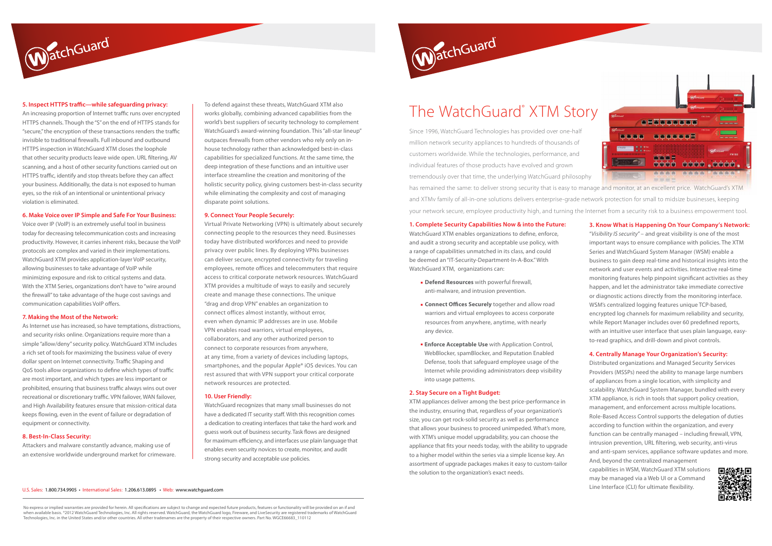#### **5. Inspect HTTPS traffic—while safeguarding privacy:**

WatchGuard

An increasing proportion of Internet traffic runs over encrypted HTTPS channels. Though the "S" on the end of HTTPS stands for "secure," the encryption of these transactions renders the traffic invisible to traditional firewalls. Full inbound and outbound HTTPS inspection in WatchGuard XTM closes the loophole that other security products leave wide open. URL filtering, AV scanning, and a host of other security functions carried out on HTTPS traffic, identify and stop threats before they can affect your business. Additionally, the data is not exposed to human eyes, so the risk of an intentional or unintentional privacy violation is eliminated.

#### **6. Make Voice over IP Simple and Safe For Your Business:**

Voice over IP (VoIP) is an extremely useful tool in business today for decreasing telecommunication costs and increasing productivity. However, it carries inherent risks, because the VoIP protocols are complex and varied in their implementations. WatchGuard XTM provides application-layer VoIP security, allowing businesses to take advantage of VoIP while minimizing exposure and risk to critical systems and data. With the XTM Series, organizations don't have to "wire around the firewall" to take advantage of the huge cost savings and communication capabilities VoIP offers.

#### **7. Making the Most of the Network:**

As Internet use has increased, so have temptations, distractions, and security risks online. Organizations require more than a simple "allow/deny" security policy. WatchGuard XTM includes a rich set of tools for maximizing the business value of every dollar spent on Internet connectivity. Traffic Shaping and QoS tools allow organizations to define which types of traffic are most important, and which types are less important or prohibited, ensuring that business traffic always wins out over recreational or discretionary traffic. VPN failover, WAN failover, and High Availability features ensure that mission-critical data keeps flowing, even in the event of failure or degradation of equipment or connectivity.

#### **8. Best-In-Class Security:**

Attackers and malware constantly advance, making use of an extensive worldwide underground market for crimeware.

No express or implied warranties are provided for herein. All specifications are subject to change and expected future products, features or functionality will be provided on an if and when available basis. ®2012 WatchGuard Technologies, Inc. All rights reserved. WatchGuard, the WatchGuard logo, Fireware, and LiveSecurity are registered trademarks of WatchGuard Technologies, Inc. in the United States and/or other countries. All other tradenames are the property of their respective owners. Part No. WGCE66683\_110112



#### U.S. Sales: 1.800.734.9905 • International Sales: 1.206.613.0895 • Web: www.watchguard.com



#### **1. Complete Security Capabilities Now & into the Future:**

WatchGuard XTM enables organizations to define, enforce, and audit a strong security and acceptable use policy, with a range of capabilities unmatched in its class, and could be deemed an "IT-Security-Department-In-A-Box." With WatchGuard XTM, organizations can:

- **Defend Resources** with powerful firewall, anti-malware, and intrusion prevention.
- **EXECO FFICES Securely** together and allow road warriors and virtual employees to access corporate resources from anywhere, anytime, with nearly any device.
- **Enforce Acceptable Use** with Application Control, WebBlocker, spamBlocker, and Reputation Enabled Defense, tools that safeguard employee usage of the Internet while providing administrators deep visibility into usage patterns.

#### **2. Stay Secure on a Tight Budget:**

XTM appliances deliver among the best price-performance in the industry, ensuring that, regardless of your organization's size, you can get rock-solid security as well as performance that allows your business to proceed unimpeded. What's more, with XTM's unique model upgradability, you can choose the appliance that fits your needs today, with the ability to upgrade to a higher model within the series via a simple license key. An assortment of upgrade packages makes it easy to custom-tailor the solution to the organization's exact needs.

### The WatchGuard® XTM Story

Since 1996, WatchGuard Technologies has provided over one-half **BEER REGISTER FOR DEALERS** million network security appliances to hundreds of thousands of customers worldwide. While the technologies, performance, and nnne cóna chón chón. individual features of those products have evolved and grown tremendously over that time, the underlying WatchGuard philosophy **THE REAL PROPERTY** has remained the same: to deliver strong security that is easy to manage and monitor, at an excellent price. WatchGuard's XTM and XTMv family of all-in-one solutions delivers enterprise-grade network protection for small to midsize businesses, keeping your network secure, employee productivity high, and turning the Internet from a security risk to a business empowerment tool.

#### **3. Know What is Happening On Your Company's Network:**

"*Visibility IS security*" – and great visibility is one of the most important ways to ensure compliance with policies. The XTM Series and WatchGuard System Manager (WSM) enable a business to gain deep real-time and historical insights into the network and user events and activities. Interactive real-time monitoring features help pinpoint significant activities as they happen, and let the administrator take immediate corrective or diagnostic actions directly from the monitoring interface. WSM's centralized logging features unique TCP-based, encrypted log channels for maximum reliability and security, while Report Manager includes over 60 predefined reports, with an intuitive user interface that uses plain language, easyto-read graphics, and drill-down and pivot controls.

#### **4. Centrally Manage Your Organization's Security:**

Distributed organizations and Managed Security Services Providers (MSSPs) need the ability to manage large numbers of appliances from a single location, with simplicity and scalability. WatchGuard System Manager, bundled with every XTM appliance, is rich in tools that support policy creation, management, and enforcement across multiple locations. Role-Based Access Control supports the delegation of duties according to function within the organization, and every function can be centrally managed – including firewall, VPN, intrusion prevention, URL filtering, web security, anti-virus and anti-spam services, appliance software updates and more. And, beyond the centralized management

capabilities in WSM, WatchGuard XTM solutions may be managed via a Web UI or a Command Line Interface (CLI) for ultimate flexibility.

To defend against these threats, WatchGuard XTM also works globally, combining advanced capabilities from the world's best suppliers of security technology to complement WatchGuard's award-winning foundation. This "all-star lineup" outpaces firewalls from other vendors who rely only on inhouse technology rather than acknowledged best-in-class capabilities for specialized functions. At the same time, the deep integration of these functions and an intuitive user interface streamline the creation and monitoring of the holistic security policy, giving customers best-in-class security while eliminating the complexity and cost of managing disparate point solutions.

#### **9. Connect Your People Securely:**

Virtual Private Networking (VPN) is ultimately about securely connecting people to the resources they need. Businesses today have distributed workforces and need to provide privacy over public lines. By deploying VPNs businesses can deliver secure, encrypted connectivity for traveling employees, remote offices and telecommuters that require access to critical corporate network resources. WatchGuard XTM provides a multitude of ways to easily and securely create and manage these connections. The unique "drag and drop VPN" enables an organization to connect offices almost instantly, without error, even when dynamic IP addresses are in use. Mobile VPN enables road warriors, virtual employees, collaborators, and any other authorized person to connect to corporate resources from anywhere, at any time, from a variety of devices including laptops, smartphones, and the popular Apple® iOS devices. You can rest assured that with VPN support your critical corporate network resources are protected.

#### **10. User Friendly:**

WatchGuard recognizes that many small businesses do not have a dedicated IT security staff. With this recognition comes a dedication to creating interfaces that take the hard work and guess work out of business security. Task flows are designed for maximum efficiency, and interfaces use plain language that enables even security novices to create, monitor, and audit strong security and acceptable use policies.

# WatchGuard